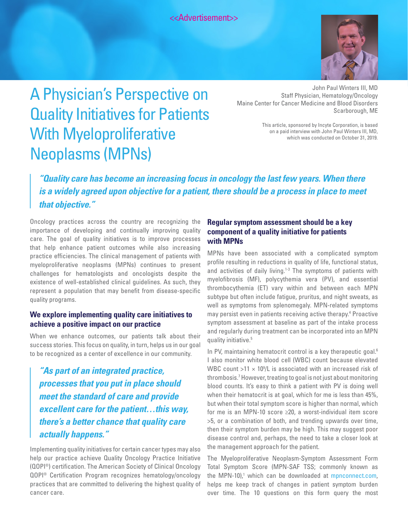<<Advertisement>>



# A Physician's Perspective on Quality Initiatives for Patients With Myeloproliferative Neoplasms (MPNs)

John Paul Winters III, MD Staff Physician, Hematology/Oncology Maine Center for Cancer Medicine and Blood Disorders Scarborough, ME

> This article, sponsored by Incyte Corporation, is based on a paid interview with John Paul Winters III, MD, which was conducted on October 31, 2019.

## *"Quality care has become an increasing focus in oncology the last few years. When there is a widely agreed upon objective for a patient, there should be a process in place to meet that objective."*

Oncology practices across the country are recognizing the importance of developing and continually improving quality care. The goal of quality initiatives is to improve processes that help enhance patient outcomes while also increasing practice efficiencies. The clinical management of patients with myeloproliferative neoplasms (MPNs) continues to present challenges for hematologists and oncologists despite the existence of well-established clinical guidelines. As such, they represent a population that may benefit from disease-specific quality programs.

#### **We explore implementing quality care initiatives to achieve a positive impact on our practice**

When we enhance outcomes, our patients talk about their success stories. This focus on quality, in turn, helps us in our goal to be recognized as a center of excellence in our community.

*"As part of an integrated practice, processes that you put in place should meet the standard of care and provide excellent care for the patient…this way, there's a better chance that quality care actually happens."*

Implementing quality initiatives for certain cancer types may also help our practice achieve Quality Oncology Practice Initiative (QOPI®) certification. The American Society of Clinical Oncology QOPI® Certification Program recognizes hematology/oncology practices that are committed to delivering the highest quality of cancer care.

#### **Regular symptom assessment should be a key component of a quality initiative for patients with MPNs**

MPNs have been associated with a complicated symptom profile resulting in reductions in quality of life, functional status, and activities of daily living.<sup>1-3</sup> The symptoms of patients with myelofibrosis (MF), polycythemia vera (PV), and essential thrombocythemia (ET) vary within and between each MPN subtype but often include fatigue, pruritus, and night sweats, as well as symptoms from splenomegaly. MPN-related symptoms may persist even in patients receiving active therapy.<sup>4</sup> Proactive symptom assessment at baseline as part of the intake process and regularly during treatment can be incorporated into an MPN quality initiative.5

In PV, maintaining hematocrit control is a key therapeutic goal.<sup>6</sup> I also monitor white blood cell (WBC) count because elevated WBC count  $>11 \times 10^9$ /L is associated with an increased risk of thrombosis.7 However, treating to goal is not just about monitoring blood counts. It's easy to think a patient with PV is doing well when their hematocrit is at goal, which for me is less than 45%, but when their total symptom score is higher than normal, which for me is an MPN-10 score ≥20, a worst-individual item score >5, or a combination of both, and trending upwards over time, then their symptom burden may be high. This may suggest poor disease control and, perhaps, the need to take a closer look at the management approach for the patient.

The Myeloproliferative Neoplasm-Symptom Assessment Form Total Symptom Score (MPN-SAF TSS; commonly known as the MPN-10),<sup>1</sup> which can be downloaded at [mpnconnect.com](http://mpnconnect.com), helps me keep track of changes in patient symptom burden over time. The 10 questions on this form query the most